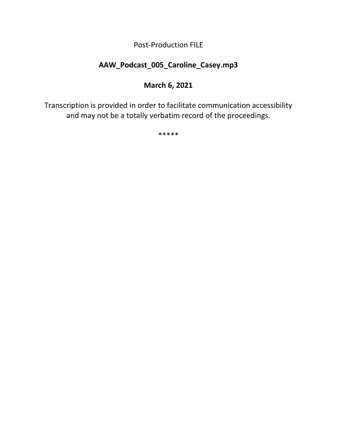Post-Production FILE

# **AAW\_Podcast\_005\_Caroline\_Casey.mp3**

## **March 6, 2021**

Transcription is provided in order to facilitate communication accessibility and may not be a totally verbatim record of the proceedings.

\*\*\*\*\*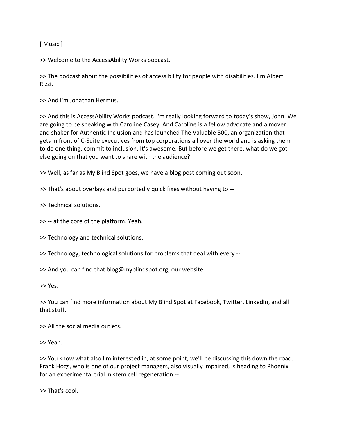[ Music ]

>> Welcome to the AccessAbility Works podcast.

>> The podcast about the possibilities of accessibility for people with disabilities. I'm Albert Rizzi.

>> And I'm Jonathan Hermus.

>> And this is AccessAbility Works podcast. I'm really looking forward to today's show, John. We are going to be speaking with Caroline Casey. And Caroline is a fellow advocate and a mover and shaker for Authentic Inclusion and has launched The Valuable 500, an organization that gets in front of C-Suite executives from top corporations all over the world and is asking them to do one thing, commit to inclusion. It's awesome. But before we get there, what do we got else going on that you want to share with the audience?

>> Well, as far as My Blind Spot goes, we have a blog post coming out soon.

>> That's about overlays and purportedly quick fixes without having to --

>> Technical solutions.

>> -- at the core of the platform. Yeah.

>> Technology and technical solutions.

>> Technology, technological solutions for problems that deal with every --

>> And you can find that blog@myblindspot.org, our website.

>> Yes.

>> You can find more information about My Blind Spot at Facebook, Twitter, LinkedIn, and all that stuff.

>> All the social media outlets.

>> Yeah.

>> You know what also I'm interested in, at some point, we'll be discussing this down the road. Frank Hogs, who is one of our project managers, also visually impaired, is heading to Phoenix for an experimental trial in stem cell regeneration --

>> That's cool.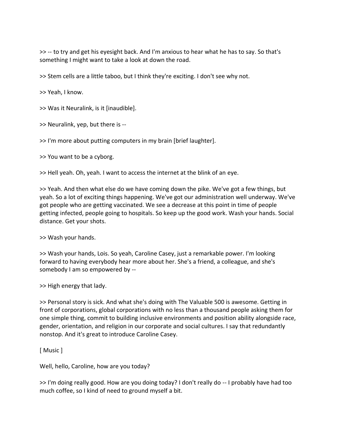>> -- to try and get his eyesight back. And I'm anxious to hear what he has to say. So that's something I might want to take a look at down the road.

>> Stem cells are a little taboo, but I think they're exciting. I don't see why not.

>> Yeah, I know.

>> Was it Neuralink, is it [inaudible].

>> Neuralink, yep, but there is --

>> I'm more about putting computers in my brain [brief laughter].

>> You want to be a cyborg.

>> Hell yeah. Oh, yeah. I want to access the internet at the blink of an eye.

>> Yeah. And then what else do we have coming down the pike. We've got a few things, but yeah. So a lot of exciting things happening. We've got our administration well underway. We've got people who are getting vaccinated. We see a decrease at this point in time of people getting infected, people going to hospitals. So keep up the good work. Wash your hands. Social distance. Get your shots.

>> Wash your hands.

>> Wash your hands, Lois. So yeah, Caroline Casey, just a remarkable power. I'm looking forward to having everybody hear more about her. She's a friend, a colleague, and she's somebody I am so empowered by --

>> High energy that lady.

>> Personal story is sick. And what she's doing with The Valuable 500 is awesome. Getting in front of corporations, global corporations with no less than a thousand people asking them for one simple thing, commit to building inclusive environments and position ability alongside race, gender, orientation, and religion in our corporate and social cultures. I say that redundantly nonstop. And it's great to introduce Caroline Casey.

[ Music ]

Well, hello, Caroline, how are you today?

>> I'm doing really good. How are you doing today? I don't really do -- I probably have had too much coffee, so I kind of need to ground myself a bit.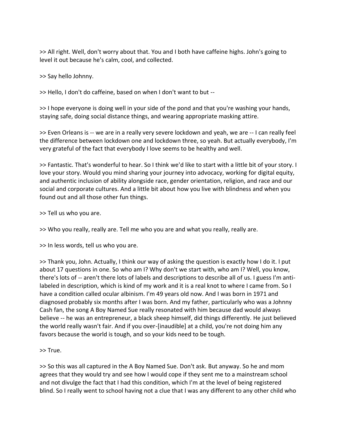>> All right. Well, don't worry about that. You and I both have caffeine highs. John's going to level it out because he's calm, cool, and collected.

>> Say hello Johnny.

>> Hello, I don't do caffeine, based on when I don't want to but --

>> I hope everyone is doing well in your side of the pond and that you're washing your hands, staying safe, doing social distance things, and wearing appropriate masking attire.

>> Even Orleans is -- we are in a really very severe lockdown and yeah, we are -- I can really feel the difference between lockdown one and lockdown three, so yeah. But actually everybody, I'm very grateful of the fact that everybody I love seems to be healthy and well.

>> Fantastic. That's wonderful to hear. So I think we'd like to start with a little bit of your story. I love your story. Would you mind sharing your journey into advocacy, working for digital equity, and authentic inclusion of ability alongside race, gender orientation, religion, and race and our social and corporate cultures. And a little bit about how you live with blindness and when you found out and all those other fun things.

>> Tell us who you are.

>> Who you really, really are. Tell me who you are and what you really, really are.

>> In less words, tell us who you are.

>> Thank you, John. Actually, I think our way of asking the question is exactly how I do it. I put about 17 questions in one. So who am I? Why don't we start with, who am I? Well, you know, there's lots of -- aren't there lots of labels and descriptions to describe all of us. I guess I'm antilabeled in description, which is kind of my work and it is a real knot to where I came from. So I have a condition called ocular albinism. I'm 49 years old now. And I was born in 1971 and diagnosed probably six months after I was born. And my father, particularly who was a Johnny Cash fan, the song A Boy Named Sue really resonated with him because dad would always believe -- he was an entrepreneur, a black sheep himself, did things differently. He just believed the world really wasn't fair. And if you over-[inaudible] at a child, you're not doing him any favors because the world is tough, and so your kids need to be tough.

>> True.

>> So this was all captured in the A Boy Named Sue. Don't ask. But anyway. So he and mom agrees that they would try and see how I would cope if they sent me to a mainstream school and not divulge the fact that I had this condition, which I'm at the level of being registered blind. So I really went to school having not a clue that I was any different to any other child who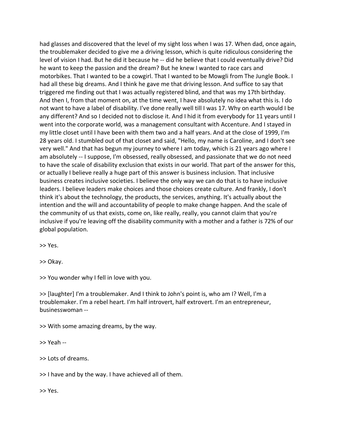had glasses and discovered that the level of my sight loss when I was 17. When dad, once again, the troublemaker decided to give me a driving lesson, which is quite ridiculous considering the level of vision I had. But he did it because he -- did he believe that I could eventually drive? Did he want to keep the passion and the dream? But he knew I wanted to race cars and motorbikes. That I wanted to be a cowgirl. That I wanted to be Mowgli from The Jungle Book. I had all these big dreams. And I think he gave me that driving lesson. And suffice to say that triggered me finding out that I was actually registered blind, and that was my 17th birthday. And then I, from that moment on, at the time went, I have absolutely no idea what this is. I do not want to have a label of disability. I've done really well till I was 17. Why on earth would I be any different? And so I decided not to disclose it. And I hid it from everybody for 11 years until I went into the corporate world, was a management consultant with Accenture. And I stayed in my little closet until I have been with them two and a half years. And at the close of 1999, I'm 28 years old. I stumbled out of that closet and said, "Hello, my name is Caroline, and I don't see very well." And that has begun my journey to where I am today, which is 21 years ago where I am absolutely -- I suppose, I'm obsessed, really obsessed, and passionate that we do not need to have the scale of disability exclusion that exists in our world. That part of the answer for this, or actually I believe really a huge part of this answer is business inclusion. That inclusive business creates inclusive societies. I believe the only way we can do that is to have inclusive leaders. I believe leaders make choices and those choices create culture. And frankly, I don't think it's about the technology, the products, the services, anything. It's actually about the intention and the will and accountability of people to make change happen. And the scale of the community of us that exists, come on, like really, really, you cannot claim that you're inclusive if you're leaving off the disability community with a mother and a father is 72% of our global population.

>> Yes.

>> Okay.

>> You wonder why I fell in love with you.

>> [laughter] I'm a troublemaker. And I think to John's point is, who am I? Well, I'm a troublemaker. I'm a rebel heart. I'm half introvert, half extrovert. I'm an entrepreneur, businesswoman --

>> With some amazing dreams, by the way.

>> Yeah --

>> Lots of dreams.

>> I have and by the way. I have achieved all of them.

>> Yes.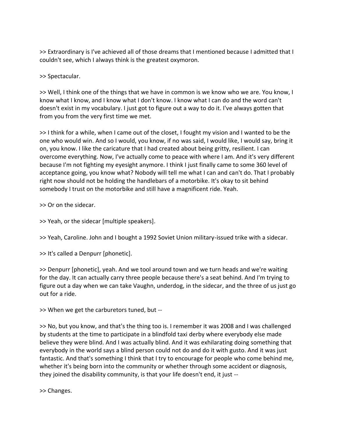>> Extraordinary is I've achieved all of those dreams that I mentioned because I admitted that I couldn't see, which I always think is the greatest oxymoron.

>> Spectacular.

>> Well, I think one of the things that we have in common is we know who we are. You know, I know what I know, and I know what I don't know. I know what I can do and the word can't doesn't exist in my vocabulary. I just got to figure out a way to do it. I've always gotten that from you from the very first time we met.

>> I think for a while, when I came out of the closet, I fought my vision and I wanted to be the one who would win. And so I would, you know, if no was said, I would like, I would say, bring it on, you know. I like the caricature that I had created about being gritty, resilient. I can overcome everything. Now, I've actually come to peace with where I am. And it's very different because I'm not fighting my eyesight anymore. I think I just finally came to some 360 level of acceptance going, you know what? Nobody will tell me what I can and can't do. That I probably right now should not be holding the handlebars of a motorbike. It's okay to sit behind somebody I trust on the motorbike and still have a magnificent ride. Yeah.

>> Or on the sidecar.

>> Yeah, or the sidecar [multiple speakers].

>> Yeah, Caroline. John and I bought a 1992 Soviet Union military-issued trike with a sidecar.

>> It's called a Denpurr [phonetic].

>> Denpurr [phonetic], yeah. And we tool around town and we turn heads and we're waiting for the day. It can actually carry three people because there's a seat behind. And I'm trying to figure out a day when we can take Vaughn, underdog, in the sidecar, and the three of us just go out for a ride.

>> When we get the carburetors tuned, but --

>> No, but you know, and that's the thing too is. I remember it was 2008 and I was challenged by students at the time to participate in a blindfold taxi derby where everybody else made believe they were blind. And I was actually blind. And it was exhilarating doing something that everybody in the world says a blind person could not do and do it with gusto. And it was just fantastic. And that's something I think that I try to encourage for people who come behind me, whether it's being born into the community or whether through some accident or diagnosis, they joined the disability community, is that your life doesn't end, it just --

>> Changes.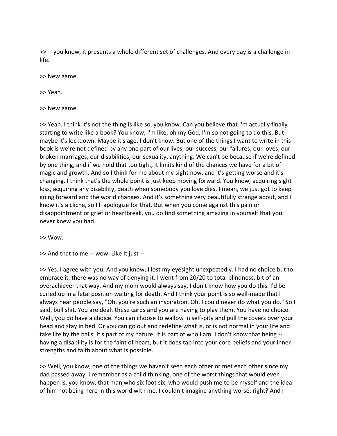>> -- you know, it presents a whole different set of challenges. And every day is a challenge in life.

>> New game.

>> Yeah.

>> New game.

>> Yeah. I think it's not the thing is like so, you know. Can you believe that I'm actually finally starting to write like a book? You know, I'm like, oh my God, I'm so not going to do this. But maybe it's lockdown. Maybe it's age. I don't know. But one of the things I want to write in this book is we're not defined by any one part of our lives, our success, our failures, our loves, our broken marriages, our disabilities, our sexuality, anything. We can't be because if we're defined by one thing, and if we hold that too tight, it limits kind of the chances we have for a bit of magic and growth. And so I think for me about my sight now, and it's getting worse and it's changing. I think that's the whole point is just keep moving forward. You know, acquiring sight loss, acquiring any disability, death when somebody you love dies. I mean, we just got to keep going forward and the world changes. And it's something very beautifully strange about, and I know it's a cliche, so I'll apologize for that. But when you come against this pain or disappointment or grief or heartbreak, you do find something amazing in yourself that you never knew you had.

>> Wow.

>> And that to me -- wow. Like It just --

>> Yes. I agree with you. And you know, I lost my eyesight unexpectedly. I had no choice but to embrace it, there was no way of denying it. I went from 20/20 to total blindness, bit of an overachiever that way. And my mom would always say, I don't know how you do this. I'd be curled up in a fetal position waiting for death. And I think your point is so well-made that I always hear people say, "Oh, you're such an inspiration. Oh, I could never do what you do." So I said, bull shit. You are dealt these cards and you are having to play them. You have no choice. Well, you do have a choice. You can choose to wallow in self-pity and pull the covers over your head and stay in bed. Or you can go out and redefine what is, or is not normal in your life and take life by the balls. It's part of my nature. It is part of who I am. I don't know that being - having a disability is for the faint of heart, but it does tap into your core beliefs and your inner strengths and faith about what is possible.

>> Well, you know, one of the things we haven't seen each other or met each other since my dad passed away. I remember as a child thinking, one of the worst things that would ever happen is, you know, that man who six foot six, who would push me to be myself and the idea of him not being here in this world with me. I couldn't imagine anything worse, right? And I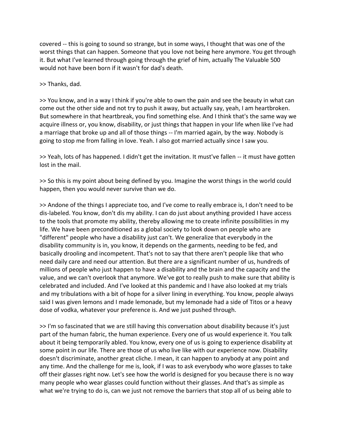covered -- this is going to sound so strange, but in some ways, I thought that was one of the worst things that can happen. Someone that you love not being here anymore. You get through it. But what I've learned through going through the grief of him, actually The Valuable 500 would not have been born if it wasn't for dad's death.

>> Thanks, dad.

>> You know, and in a way I think if you're able to own the pain and see the beauty in what can come out the other side and not try to push it away, but actually say, yeah, I am heartbroken. But somewhere in that heartbreak, you find something else. And I think that's the same way we acquire illness or, you know, disability, or just things that happen in your life when like I've had a marriage that broke up and all of those things -- I'm married again, by the way. Nobody is going to stop me from falling in love. Yeah. I also got married actually since I saw you.

>> Yeah, lots of has happened. I didn't get the invitation. It must've fallen -- it must have gotten lost in the mail.

>> So this is my point about being defined by you. Imagine the worst things in the world could happen, then you would never survive than we do.

>> Andone of the things I appreciate too, and I've come to really embrace is, I don't need to be dis-labeled. You know, don't dis my ability. I can do just about anything provided I have access to the tools that promote my ability, thereby allowing me to create infinite possibilities in my life. We have been preconditioned as a global society to look down on people who are "different" people who have a disability just can't. We generalize that everybody in the disability community is in, you know, it depends on the garments, needing to be fed, and basically drooling and incompetent. That's not to say that there aren't people like that who need daily care and need our attention. But there are a significant number of us, hundreds of millions of people who just happen to have a disability and the brain and the capacity and the value, and we can't overlook that anymore. We've got to really push to make sure that ability is celebrated and included. And I've looked at this pandemic and I have also looked at my trials and my tribulations with a bit of hope for a silver lining in everything. You know, people always said I was given lemons and I made lemonade, but my lemonade had a side of Titos or a heavy dose of vodka, whatever your preference is. And we just pushed through.

>> I'm so fascinated that we are still having this conversation about disability because it's just part of the human fabric, the human experience. Every one of us would experience it. You talk about it being temporarily abled. You know, every one of us is going to experience disability at some point in our life. There are those of us who live like with our experience now. Disability doesn't discriminate, another great cliche. I mean, it can happen to anybody at any point and any time. And the challenge for me is, look, if I was to ask everybody who wore glasses to take off their glasses right now. Let's see how the world is designed for you because there is no way many people who wear glasses could function without their glasses. And that's as simple as what we're trying to do is, can we just not remove the barriers that stop all of us being able to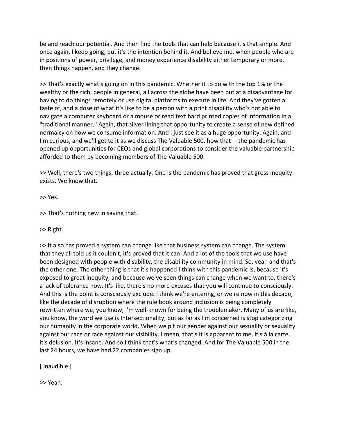be and reach our potential. And then find the tools that can help because it's that simple. And once again, I keep going, but it's the intention behind it. And believe me, when people who are in positions of power, privilege, and money experience disability either temporary or more, then things happen, and they change.

>> That's exactly what's going on in this pandemic. Whether it to do with the top 1% or the wealthy or the rich, people in general, all across the globe have been put at a disadvantage for having to do things remotely or use digital platforms to execute in life. And they've gotten a taste of, and a dose of what it's like to be a person with a print disability who's not able to navigate a computer keyboard or a mouse or read text hard printed copies of information in a "traditional manner." Again, that silver lining that opportunity to create a sense of new defined normalcy on how we consume information. And I just see it as a huge opportunity. Again, and I'm curious, and we'll get to it as we discuss The Valuable 500, how that -- the pandemic has opened up opportunities for CEOs and global corporations to consider the valuable partnership afforded to them by becoming members of The Valuable 500.

>> Well, there's two things, three actually. One is the pandemic has proved that gross inequity exists. We know that.

>> Yes.

>> That's nothing new in saying that.

>> Right.

>> It also has proved a system can change like that business system can change. The system that they all told us it couldn't, it's proved that it can. And a lot of the tools that we use have been designed with people with disability, the disability community in mind. So, yeah and that's the other one. The other thing is that it's happened I think with this pandemic is, because it's exposed to great inequity, and because we've seen things can change when we want to, there's a lack of tolerance now. It's like, there's no more excuses that you will continue to consciously. And this is the point is consciously exclude. I think we're entering, or we're now in this decade, like the decade of disruption where the rule book around inclusion is being completely rewritten where we, you know, I'm well-known for being the troublemaker. Many of us are like, you know, the word we use is Intersectionality, but as far as I'm concerned is stop categorizing our humanity in the corporate world. When we pit our gender against our sexuality or sexuality against our race or race against our visibility. I mean, that's it is apparent to me, it's à la carte, it's delusion. It's insane. And so I think that's what's changed. And for The Valuable 500 in the last 24 hours, we have had 22 companies sign up.

[ Inaudible ]

>> Yeah.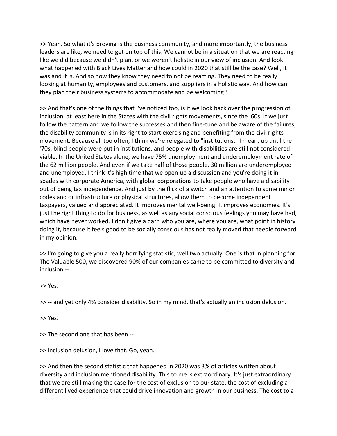>> Yeah. So what it's proving is the business community, and more importantly, the business leaders are like, we need to get on top of this. We cannot be in a situation that we are reacting like we did because we didn't plan, or we weren't holistic in our view of inclusion. And look what happened with Black Lives Matter and how could in 2020 that still be the case? Well, it was and it is. And so now they know they need to not be reacting. They need to be really looking at humanity, employees and customers, and suppliers in a holistic way. And how can they plan their business systems to accommodate and be welcoming?

>> And that's one of the things that I've noticed too, is if we look back over the progression of inclusion, at least here in the States with the civil rights movements, since the '60s. If we just follow the pattern and we follow the successes and then fine-tune and be aware of the failures, the disability community is in its right to start exercising and benefiting from the civil rights movement. Because all too often, I think we're relegated to "institutions." I mean, up until the '70s, blind people were put in institutions, and people with disabilities are still not considered viable. In the United States alone, we have 75% unemployment and underemployment rate of the 62 million people. And even if we take half of those people, 30 million are underemployed and unemployed. I think it's high time that we open up a discussion and you're doing it in spades with corporate America, with global corporations to take people who have a disability out of being tax independence. And just by the flick of a switch and an attention to some minor codes and or infrastructure or physical structures, allow them to become independent taxpayers, valued and appreciated. It improves mental well-being. It improves economies. It's just the right thing to do for business, as well as any social conscious feelings you may have had, which have never worked. I don't give a darn who you are, where you are, what point in history doing it, because it feels good to be socially conscious has not really moved that needle forward in my opinion.

>> I'm going to give you a really horrifying statistic, well two actually. One is that in planning for The Valuable 500, we discovered 90% of our companies came to be committed to diversity and inclusion --

>> Yes.

>> -- and yet only 4% consider disability. So in my mind, that's actually an inclusion delusion.

>> Yes.

>> The second one that has been --

>> Inclusion delusion, I love that. Go, yeah.

>> And then the second statistic that happened in 2020 was 3% of articles written about diversity and inclusion mentioned disability. This to me is extraordinary. It's just extraordinary that we are still making the case for the cost of exclusion to our state, the cost of excluding a different lived experience that could drive innovation and growth in our business. The cost to a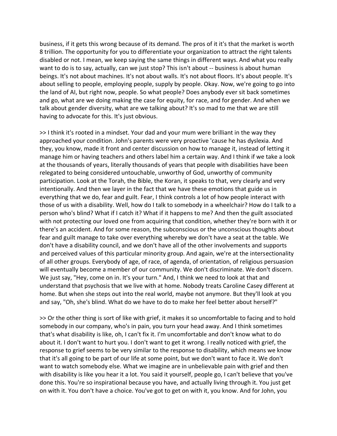business, if it gets this wrong because of its demand. The pros of it it's that the market is worth 8 trillion. The opportunity for you to differentiate your organization to attract the right talents disabled or not. I mean, we keep saying the same things in different ways. And what you really want to do is to say, actually, can we just stop? This isn't about -- business is about human beings. It's not about machines. It's not about walls. It's not about floors. It's about people. It's about selling to people, employing people, supply by people. Okay. Now, we're going to go into the land of AI, but right now, people. So what people? Does anybody ever sit back sometimes and go, what are we doing making the case for equity, for race, and for gender. And when we talk about gender diversity, what are we talking about? It's so mad to me that we are still having to advocate for this. It's just obvious.

>> I think it's rooted in a mindset. Your dad and your mum were brilliant in the way they approached your condition. John's parents were very proactive 'cause he has dyslexia. And they, you know, made it front and center discussion on how to manage it, instead of letting it manage him or having teachers and others label him a certain way. And I think if we take a look at the thousands of years, literally thousands of years that people with disabilities have been relegated to being considered untouchable, unworthy of God, unworthy of community participation. Look at the Torah, the Bible, the Koran, it speaks to that, very clearly and very intentionally. And then we layer in the fact that we have these emotions that guide us in everything that we do, fear and guilt. Fear, I think controls a lot of how people interact with those of us with a disability. Well, how do I talk to somebody in a wheelchair? How do I talk to a person who's blind? What if I catch it? What if it happens to me? And then the guilt associated with not protecting our loved one from acquiring that condition, whether they're born with it or there's an accident. And for some reason, the subconscious or the unconscious thoughts about fear and guilt manage to take over everything whereby we don't have a seat at the table. We don't have a disability council, and we don't have all of the other involvements and supports and perceived values of this particular minority group. And again, we're at the intersectionality of all other groups. Everybody of age, of race, of agenda, of orientation, of religious persuasion will eventually become a member of our community. We don't discriminate. We don't discern. We just say, "Hey, come on in. It's your turn." And, I think we need to look at that and understand that psychosis that we live with at home. Nobody treats Caroline Casey different at home. But when she steps out into the real world, maybe not anymore. But they'll look at you and say, "Oh, she's blind. What do we have to do to make her feel better about herself?"

>> Or the other thing is sort of like with grief, it makes it so uncomfortable to facing and to hold somebody in our company, who's in pain, you turn your head away. And I think sometimes that's what disability is like, oh, I can't fix it. I'm uncomfortable and don't know what to do about it. I don't want to hurt you. I don't want to get it wrong. I really noticed with grief, the response to grief seems to be very similar to the response to disability, which means we know that it's all going to be part of our life at some point, but we don't want to face it. We don't want to watch somebody else. What we imagine are in unbelievable pain with grief and then with disability is like you hear it a lot. You said it yourself, people go, I can't believe that you've done this. You're so inspirational because you have, and actually living through it. You just get on with it. You don't have a choice. You've got to get on with it, you know. And for John, you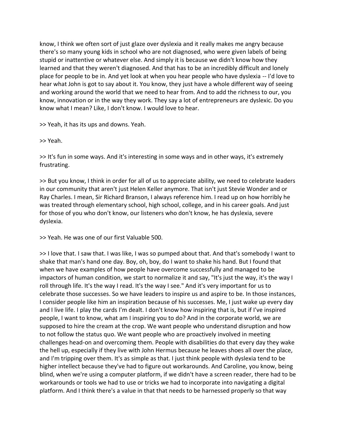know, I think we often sort of just glaze over dyslexia and it really makes me angry because there's so many young kids in school who are not diagnosed, who were given labels of being stupid or inattentive or whatever else. And simply it is because we didn't know how they learned and that they weren't diagnosed. And that has to be an incredibly difficult and lonely place for people to be in. And yet look at when you hear people who have dyslexia -- I'd love to hear what John is got to say about it. You know, they just have a whole different way of seeing and working around the world that we need to hear from. And to add the richness to our, you know, innovation or in the way they work. They say a lot of entrepreneurs are dyslexic. Do you know what I mean? Like, I don't know. I would love to hear.

>> Yeah, it has its ups and downs. Yeah.

>> Yeah.

>> It's fun in some ways. And it's interesting in some ways and in other ways, it's extremely frustrating.

>> But you know, I think in order for all of us to appreciate ability, we need to celebrate leaders in our community that aren't just Helen Keller anymore. That isn't just Stevie Wonder and or Ray Charles. I mean, Sir Richard Branson, I always reference him. I read up on how horribly he was treated through elementary school, high school, college, and in his career goals. And just for those of you who don't know, our listeners who don't know, he has dyslexia, severe dyslexia.

>> Yeah. He was one of our first Valuable 500.

>> I love that. I saw that. I was like, I was so pumped about that. And that's somebody I want to shake that man's hand one day. Boy, oh, boy, do I want to shake his hand. But I found that when we have examples of how people have overcome successfully and managed to be impactors of human condition, we start to normalize it and say, "It's just the way, it's the way I roll through life. It's the way I read. It's the way I see." And it's very important for us to celebrate those successes. So we have leaders to inspire us and aspire to be. In those instances, I consider people like him an inspiration because of his successes. Me, I just wake up every day and I live life. I play the cards I'm dealt. I don't know how inspiring that is, but if I've inspired people, I want to know, what am I inspiring you to do? And in the corporate world, we are supposed to hire the cream at the crop. We want people who understand disruption and how to not follow the status quo. We want people who are proactively involved in meeting challenges head-on and overcoming them. People with disabilities do that every day they wake the hell up, especially if they live with John Hermus because he leaves shoes all over the place, and I'm tripping over them. It's as simple as that. I just think people with dyslexia tend to be higher intellect because they've had to figure out workarounds. And Caroline, you know, being blind, when we're using a computer platform, if we didn't have a screen reader, there had to be workarounds or tools we had to use or tricks we had to incorporate into navigating a digital platform. And I think there's a value in that that needs to be harnessed properly so that way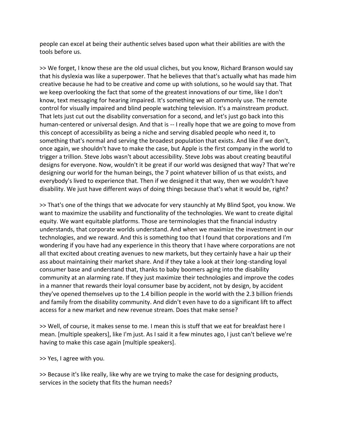people can excel at being their authentic selves based upon what their abilities are with the tools before us.

>> We forget, I know these are the old usual cliches, but you know, Richard Branson would say that his dyslexia was like a superpower. That he believes that that's actually what has made him creative because he had to be creative and come up with solutions, so he would say that. That we keep overlooking the fact that some of the greatest innovations of our time, like I don't know, text messaging for hearing impaired. It's something we all commonly use. The remote control for visually impaired and blind people watching television. It's a mainstream product. That lets just cut out the disability conversation for a second, and let's just go back into this human-centered or universal design. And that is -- I really hope that we are going to move from this concept of accessibility as being a niche and serving disabled people who need it, to something that's normal and serving the broadest population that exists. And like if we don't, once again, we shouldn't have to make the case, but Apple is the first company in the world to trigger a trillion. Steve Jobs wasn't about accessibility. Steve Jobs was about creating beautiful designs for everyone. Now, wouldn't it be great if our world was designed that way? That we're designing our world for the human beings, the 7 point whatever billion of us that exists, and everybody's lived to experience that. Then if we designed it that way, then we wouldn't have disability. We just have different ways of doing things because that's what it would be, right?

>> That's one of the things that we advocate for very staunchly at My Blind Spot, you know. We want to maximize the usability and functionality of the technologies. We want to create digital equity. We want equitable platforms. Those are terminologies that the financial industry understands, that corporate worlds understand. And when we maximize the investment in our technologies, and we reward. And this is something too that I found that corporations and I'm wondering if you have had any experience in this theory that I have where corporations are not all that excited about creating avenues to new markets, but they certainly have a hair up their ass about maintaining their market share. And if they take a look at their long-standing loyal consumer base and understand that, thanks to baby boomers aging into the disability community at an alarming rate. If they just maximize their technologies and improve the codes in a manner that rewards their loyal consumer base by accident, not by design, by accident they've opened themselves up to the 1.4 billion people in the world with the 2.3 billion friends and family from the disability community. And didn't even have to do a significant lift to affect access for a new market and new revenue stream. Does that make sense?

>> Well, of course, it makes sense to me. I mean this is stuff that we eat for breakfast here I mean. [multiple speakers], like I'm just. As I said it a few minutes ago, I just can't believe we're having to make this case again [multiple speakers].

>> Yes, I agree with you.

>> Because it's like really, like why are we trying to make the case for designing products, services in the society that fits the human needs?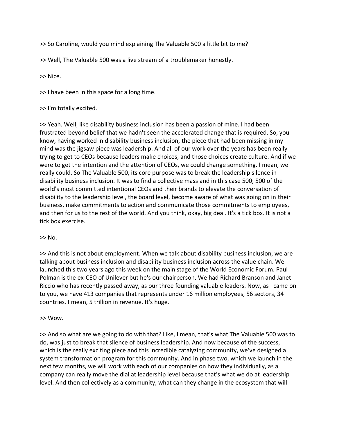>> So Caroline, would you mind explaining The Valuable 500 a little bit to me?

>> Well, The Valuable 500 was a live stream of a troublemaker honestly.

>> Nice.

>> I have been in this space for a long time.

#### >> I'm totally excited.

>> Yeah. Well, like disability business inclusion has been a passion of mine. I had been frustrated beyond belief that we hadn't seen the accelerated change that is required. So, you know, having worked in disability business inclusion, the piece that had been missing in my mind was the jigsaw piece was leadership. And all of our work over the years has been really trying to get to CEOs because leaders make choices, and those choices create culture. And if we were to get the intention and the attention of CEOs, we could change something. I mean, we really could. So The Valuable 500, its core purpose was to break the leadership silence in disability business inclusion. It was to find a collective mass and in this case 500; 500 of the world's most committed intentional CEOs and their brands to elevate the conversation of disability to the leadership level, the board level, become aware of what was going on in their business, make commitments to action and communicate those commitments to employees, and then for us to the rest of the world. And you think, okay, big deal. It's a tick box. It is not a tick box exercise.

#### $>>$  No.

>> And this is not about employment. When we talk about disability business inclusion, we are talking about business inclusion and disability business inclusion across the value chain. We launched this two years ago this week on the main stage of the World Economic Forum. Paul Polman is the ex-CEO of Unilever but he's our chairperson. We had Richard Branson and Janet Riccio who has recently passed away, as our three founding valuable leaders. Now, as I came on to you, we have 413 companies that represents under 16 million employees, 56 sectors, 34 countries. I mean, 5 trillion in revenue. It's huge.

#### >> Wow.

>> And so what are we going to do with that? Like, I mean, that's what The Valuable 500 was to do, was just to break that silence of business leadership. And now because of the success, which is the really exciting piece and this incredible catalyzing community, we've designed a system transformation program for this community. And in phase two, which we launch in the next few months, we will work with each of our companies on how they individually, as a company can really move the dial at leadership level because that's what we do at leadership level. And then collectively as a community, what can they change in the ecosystem that will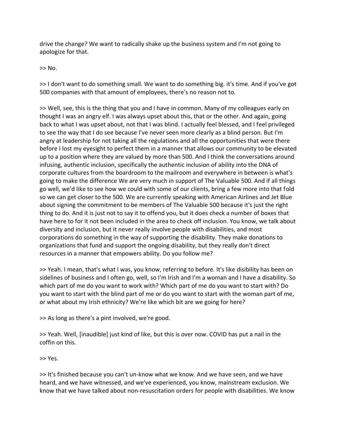drive the change? We want to radically shake up the business system and I'm not going to apologize for that.

>> No.

>> I don't want to do something small. We want to do something big. it's time. And if you've got 500 companies with that amount of employees, there's no reason not to.

>> Well, see, this is the thing that you and I have in common. Many of my colleagues early on thought I was an angry elf. I was always upset about this, that or the other. And again, going back to what I was upset about, not that I was blind. I actually feel blessed, and I feel privileged to see the way that I do see because I've never seen more clearly as a blind person. But I'm angry at leadership for not taking all the regulations and all the opportunities that were there before I lost my eyesight to perfect them in a manner that allows our community to be elevated up to a position where they are valued by more than 500. And I think the conversations around infusing, authentic inclusion, specifically the authentic inclusion of ability into the DNA of corporate cultures from the boardroom to the mailroom and everywhere in between is what's going to make the difference We are very much in support of The Valuable 500. And if all things go well, we'd like to see how we could with some of our clients, bring a few more into that fold so we can get closer to the 500. We are currently speaking with American Airlines and Jet Blue about signing the commitment to be members of The Valuable 500 because it's just the right thing to do. And it is just not to say it to offend you, but it does check a number of boxes that have here to for it not been included in the area to check off inclusion. You know, we talk about diversity and inclusion, but it never really involve people with disabilities, and most corporations do something in the way of supporting the disability. They make donations to organizations that fund and support the ongoing disability, but they really don't direct resources in a manner that empowers ability. Do you follow me?

>> Yeah. I mean, that's what I was, you know, referring to before. It's like disibility has been on sidelines of business and I often go, well, so I'm Irish and I'm a woman and I have a disability. So which part of me do you want to work with? Which part of me do you want to start with? Do you want to start with the blind part of me or do you want to start with the woman part of me, or what about my Irish ethnicity? We're like which bit are we going for here?

>> As long as there's a pint involved, we're good.

>> Yeah. Well, [inaudible] just kind of like, but this is over now. COVID has put a nail in the coffin on this.

>> Yes.

>> It's finished because you can't un-know what we know. And we have seen, and we have heard, and we have witnessed, and we've experienced, you know, mainstream exclusion. We know that we have talked about non-resuscitation orders for people with disabilities. We know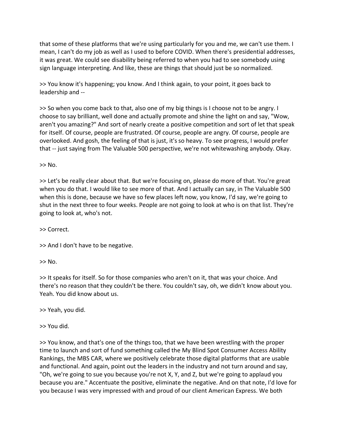that some of these platforms that we're using particularly for you and me, we can't use them. I mean, I can't do my job as well as I used to before COVID. When there's presidential addresses, it was great. We could see disability being referred to when you had to see somebody using sign language interpreting. And like, these are things that should just be so normalized.

>> You know it's happening; you know. And I think again, to your point, it goes back to leadership and --

>> So when you come back to that, also one of my big things is I choose not to be angry. I choose to say brilliant, well done and actually promote and shine the light on and say, "Wow, aren't you amazing?" And sort of nearly create a positive competition and sort of let that speak for itself. Of course, people are frustrated. Of course, people are angry. Of course, people are overlooked. And gosh, the feeling of that is just, it's so heavy. To see progress, I would prefer that -- just saying from The Valuable 500 perspective, we're not whitewashing anybody. Okay.

 $>>$  No.

>> Let's be really clear about that. But we're focusing on, please do more of that. You're great when you do that. I would like to see more of that. And I actually can say, in The Valuable 500 when this is done, because we have so few places left now, you know, I'd say, we're going to shut in the next three to four weeks. People are not going to look at who is on that list. They're going to look at, who's not.

>> Correct.

>> And I don't have to be negative.

 $>>$  No.

>> It speaks for itself. So for those companies who aren't on it, that was your choice. And there's no reason that they couldn't be there. You couldn't say, oh, we didn't know about you. Yeah. You did know about us.

>> Yeah, you did.

>> You did.

>> You know, and that's one of the things too, that we have been wrestling with the proper time to launch and sort of fund something called the My Blind Spot Consumer Access Ability Rankings, the MBS CAR, where we positively celebrate those digital platforms that are usable and functional. And again, point out the leaders in the industry and not turn around and say, "Oh, we're going to sue you because you're not X, Y, and Z, but we're going to applaud you because you are." Accentuate the positive, eliminate the negative. And on that note, I'd love for you because I was very impressed with and proud of our client American Express. We both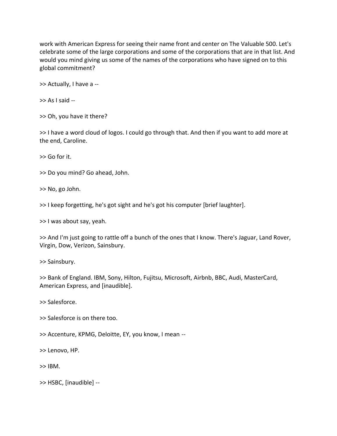work with American Express for seeing their name front and center on The Valuable 500. Let's celebrate some of the large corporations and some of the corporations that are in that list. And would you mind giving us some of the names of the corporations who have signed on to this global commitment?

>> Actually, I have a --

>> As I said --

>> Oh, you have it there?

>> I have a word cloud of logos. I could go through that. And then if you want to add more at the end, Caroline.

>> Go for it.

>> Do you mind? Go ahead, John.

>> No, go John.

>> I keep forgetting, he's got sight and he's got his computer [brief laughter].

>> I was about say, yeah.

>> And I'm just going to rattle off a bunch of the ones that I know. There's Jaguar, Land Rover, Virgin, Dow, Verizon, Sainsbury.

>> Sainsbury.

>> Bank of England. IBM, Sony, Hilton, Fujitsu, Microsoft, Airbnb, BBC, Audi, MasterCard, American Express, and [inaudible].

>> Salesforce.

>> Salesforce is on there too.

>> Accenture, KPMG, Deloitte, EY, you know, I mean --

>> Lenovo, HP.

 $>>$  IBM.

>> HSBC, [inaudible] --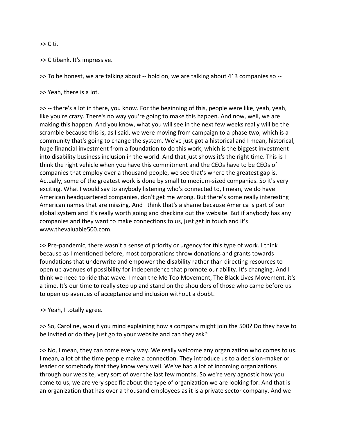>> Citi.

>> Citibank. It's impressive.

>> To be honest, we are talking about -- hold on, we are talking about 413 companies so --

>> Yeah, there is a lot.

>> -- there's a lot in there, you know. For the beginning of this, people were like, yeah, yeah, like you're crazy. There's no way you're going to make this happen. And now, well, we are making this happen. And you know, what you will see in the next few weeks really will be the scramble because this is, as I said, we were moving from campaign to a phase two, which is a community that's going to change the system. We've just got a historical and I mean, historical, huge financial investment from a foundation to do this work, which is the biggest investment into disability business inclusion in the world. And that just shows it's the right time. This is I think the right vehicle when you have this commitment and the CEOs have to be CEOs of companies that employ over a thousand people, we see that's where the greatest gap is. Actually, some of the greatest work is done by small to medium-sized companies. So it's very exciting. What I would say to anybody listening who's connected to, I mean, we do have American headquartered companies, don't get me wrong. But there's some really interesting American names that are missing. And I think that's a shame because America is part of our global system and it's really worth going and checking out the website. But if anybody has any companies and they want to make connections to us, just get in touch and it's www.thevaluable500.com.

>> Pre-pandemic, there wasn't a sense of priority or urgency for this type of work. I think because as I mentioned before, most corporations throw donations and grants towards foundations that underwrite and empower the disability rather than directing resources to open up avenues of possibility for independence that promote our ability. It's changing. And I think we need to ride that wave. I mean the Me Too Movement, The Black Lives Movement, it's a time. It's our time to really step up and stand on the shoulders of those who came before us to open up avenues of acceptance and inclusion without a doubt.

>> Yeah, I totally agree.

>> So, Caroline, would you mind explaining how a company might join the 500? Do they have to be invited or do they just go to your website and can they ask?

>> No, I mean, they can come every way. We really welcome any organization who comes to us. I mean, a lot of the time people make a connection. They introduce us to a decision-maker or leader or somebody that they know very well. We've had a lot of incoming organizations through our website, very sort of over the last few months. So we're very agnostic how you come to us, we are very specific about the type of organization we are looking for. And that is an organization that has over a thousand employees as it is a private sector company. And we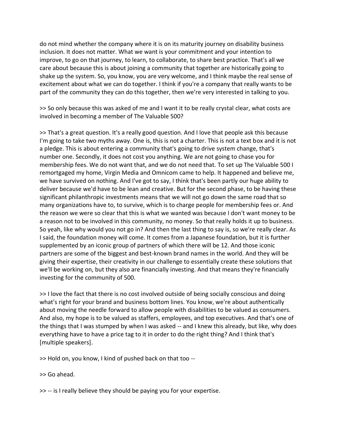do not mind whether the company where it is on its maturity journey on disability business inclusion. It does not matter. What we want is your commitment and your intention to improve, to go on that journey, to learn, to collaborate, to share best practice. That's all we care about because this is about joining a community that together are historically going to shake up the system. So, you know, you are very welcome, and I think maybe the real sense of excitement about what we can do together. I think if you're a company that really wants to be part of the community they can do this together, then we're very interested in talking to you.

>> So only because this was asked of me and I want it to be really crystal clear, what costs are involved in becoming a member of The Valuable 500?

>> That's a great question. It's a really good question. And I love that people ask this because I'm going to take two myths away. One is, this is not a charter. This is not a text box and it is not a pledge. This is about entering a community that's going to drive system change, that's number one. Secondly, it does not cost you anything. We are not going to chase you for membership fees. We do not want that, and we do not need that. To set up The Valuable 500 I remortgaged my home, Virgin Media and Omnicom came to help. It happened and believe me, we have survived on nothing. And I've got to say, I think that's been partly our huge ability to deliver because we'd have to be lean and creative. But for the second phase, to be having these significant philanthropic investments means that we will not go down the same road that so many organizations have to, to survive, which is to charge people for membership fees or. And the reason we were so clear that this is what we wanted was because I don't want money to be a reason not to be involved in this community, no money. So that really holds it up to business. So yeah, like why would you not go in? And then the last thing to say is, so we're really clear. As I said, the foundation money will come. It comes from a Japanese foundation, but it is further supplemented by an iconic group of partners of which there will be 12. And those iconic partners are some of the biggest and best-known brand names in the world. And they will be giving their expertise, their creativity in our challenge to essentially create these solutions that we'll be working on, but they also are financially investing. And that means they're financially investing for the community of 500.

>> I love the fact that there is no cost involved outside of being socially conscious and doing what's right for your brand and business bottom lines. You know, we're about authentically about moving the needle forward to allow people with disabilities to be valued as consumers. And also, my hope is to be valued as staffers, employees, and top executives. And that's one of the things that I was stumped by when I was asked -- and I knew this already, but like, why does everything have to have a price tag to it in order to do the right thing? And I think that's [multiple speakers].

>> Hold on, you know, I kind of pushed back on that too --

>> Go ahead.

>> -- is I really believe they should be paying you for your expertise.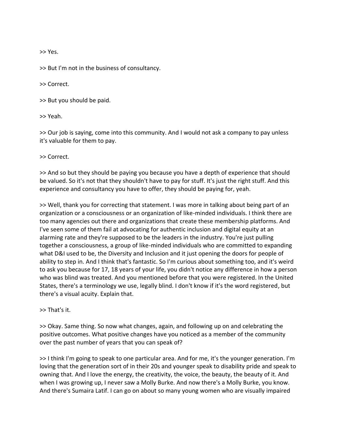>> Yes.

>> But I'm not in the business of consultancy.

>> Correct.

>> But you should be paid.

>> Yeah.

>> Our job is saying, come into this community. And I would not ask a company to pay unless it's valuable for them to pay.

>> Correct.

>> And so but they should be paying you because you have a depth of experience that should be valued. So it's not that they shouldn't have to pay for stuff. It's just the right stuff. And this experience and consultancy you have to offer, they should be paying for, yeah.

>> Well, thank you for correcting that statement. I was more in talking about being part of an organization or a consciousness or an organization of like-minded individuals. I think there are too many agencies out there and organizations that create these membership platforms. And I've seen some of them fail at advocating for authentic inclusion and digital equity at an alarming rate and they're supposed to be the leaders in the industry. You're just pulling together a consciousness, a group of like-minded individuals who are committed to expanding what D&I used to be, the Diversity and Inclusion and it just opening the doors for people of ability to step in. And I think that's fantastic. So I'm curious about something too, and it's weird to ask you because for 17, 18 years of your life, you didn't notice any difference in how a person who was blind was treated. And you mentioned before that you were registered. In the United States, there's a terminology we use, legally blind. I don't know if it's the word registered, but there's a visual acuity. Explain that.

>> That's it.

>> Okay. Same thing. So now what changes, again, and following up on and celebrating the positive outcomes. What positive changes have you noticed as a member of the community over the past number of years that you can speak of?

>> I think I'm going to speak to one particular area. And for me, it's the younger generation. I'm loving that the generation sort of in their 20s and younger speak to disability pride and speak to owning that. And I love the energy, the creativity, the voice, the beauty, the beauty of it. And when I was growing up, I never saw a Molly Burke. And now there's a Molly Burke, you know. And there's Sumaira Latif. I can go on about so many young women who are visually impaired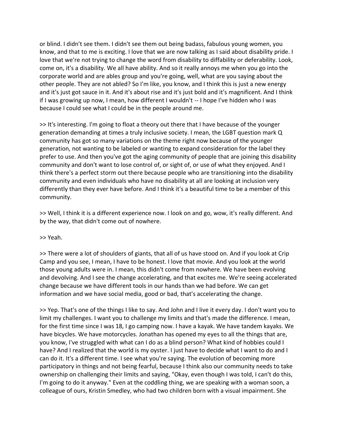or blind. I didn't see them. I didn't see them out being badass, fabulous young women, you know, and that to me is exciting. I love that we are now talking as I said about disability pride. I love that we're not trying to change the word from disability to diffability or deferability. Look, come on, it's a disability. We all have ability. And so it really annoys me when you go into the corporate world and are ables group and you're going, well, what are you saying about the other people. They are not abled? So I'm like, you know, and I think this is just a new energy and it's just got sauce in it. And it's about rise and it's just bold and it's magnificent. And I think if I was growing up now, I mean, how different I wouldn't -- I hope I've hidden who I was because I could see what I could be in the people around me.

>> It's interesting. I'm going to float a theory out there that I have because of the younger generation demanding at times a truly inclusive society. I mean, the LGBT question mark Q community has got so many variations on the theme right now because of the younger generation, not wanting to be labeled or wanting to expand consideration for the label they prefer to use. And then you've got the aging community of people that are joining this disability community and don't want to lose control of, or sight of, or use of what they enjoyed. And I think there's a perfect storm out there because people who are transitioning into the disability community and even individuals who have no disability at all are looking at inclusion very differently than they ever have before. And I think it's a beautiful time to be a member of this community.

>> Well, I think it is a different experience now. I look on and go, wow, it's really different. And by the way, that didn't come out of nowhere.

>> Yeah.

>> There were a lot of shoulders of giants, that all of us have stood on. And if you look at Crip Camp and you see, I mean, I have to be honest. I love that movie. And you look at the world those young adults were in. I mean, this didn't come from nowhere. We have been evolving and devolving. And I see the change accelerating, and that excites me. We're seeing accelerated change because we have different tools in our hands than we had before. We can get information and we have social media, good or bad, that's accelerating the change.

>> Yep. That's one of the things I like to say. And John and I live it every day. I don't want you to limit my challenges. I want you to challenge my limits and that's made the difference. I mean, for the first time since I was 18, I go camping now. I have a kayak. We have tandem kayaks. We have bicycles. We have motorcycles. Jonathan has opened my eyes to all the things that are, you know, I've struggled with what can I do as a blind person? What kind of hobbies could I have? And I realized that the world is my oyster. I just have to decide what I want to do and I can do it. It's a different time. I see what you're saying. The evolution of becoming more participatory in things and not being fearful, because I think also our community needs to take ownership on challenging their limits and saying, "Okay, even though I was told, I can't do this, I'm going to do it anyway." Even at the coddling thing, we are speaking with a woman soon, a colleague of ours, Kristin Smedley, who had two children born with a visual impairment. She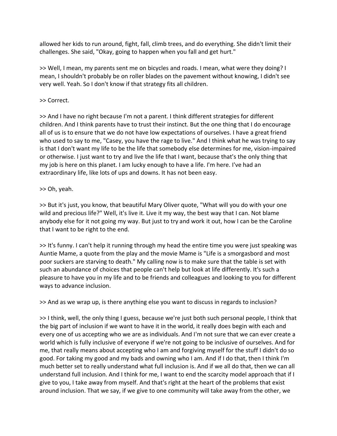allowed her kids to run around, fight, fall, climb trees, and do everything. She didn't limit their challenges. She said, "Okay, going to happen when you fall and get hurt."

>> Well, I mean, my parents sent me on bicycles and roads. I mean, what were they doing? I mean, I shouldn't probably be on roller blades on the pavement without knowing, I didn't see very well. Yeah. So I don't know if that strategy fits all children.

### >> Correct.

>> And I have no right because I'm not a parent. I think different strategies for different children. And I think parents have to trust their instinct. But the one thing that I do encourage all of us is to ensure that we do not have low expectations of ourselves. I have a great friend who used to say to me, "Casey, you have the rage to live." And I think what he was trying to say is that I don't want my life to be the life that somebody else determines for me, vision-impaired or otherwise. I just want to try and live the life that I want, because that's the only thing that my job is here on this planet. I am lucky enough to have a life. I'm here. I've had an extraordinary life, like lots of ups and downs. It has not been easy.

## >> Oh, yeah.

>> But it's just, you know, that beautiful Mary Oliver quote, "What will you do with your one wild and precious life?" Well, it's live it. Live it my way, the best way that I can. Not blame anybody else for it not going my way. But just to try and work it out, how I can be the Caroline that I want to be right to the end.

>> It's funny. I can't help it running through my head the entire time you were just speaking was Auntie Mame, a quote from the play and the movie Mame is "Life is a smorgasbord and most poor suckers are starving to death." My calling now is to make sure that the table is set with such an abundance of choices that people can't help but look at life differently. It's such a pleasure to have you in my life and to be friends and colleagues and looking to you for different ways to advance inclusion.

>> And as we wrap up, is there anything else you want to discuss in regards to inclusion?

>> I think, well, the only thing I guess, because we're just both such personal people, I think that the big part of inclusion if we want to have it in the world, it really does begin with each and every one of us accepting who we are as individuals. And I'm not sure that we can ever create a world which is fully inclusive of everyone if we're not going to be inclusive of ourselves. And for me, that really means about accepting who I am and forgiving myself for the stuff I didn't do so good. For taking my good and my bads and owning who I am. And if I do that, then I think I'm much better set to really understand what full inclusion is. And if we all do that, then we can all understand full inclusion. And I think for me, I want to end the scarcity model approach that if I give to you, I take away from myself. And that's right at the heart of the problems that exist around inclusion. That we say, if we give to one community will take away from the other, we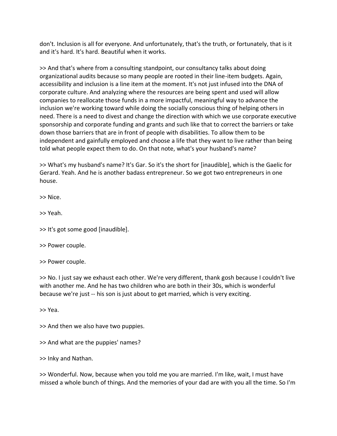don't. Inclusion is all for everyone. And unfortunately, that's the truth, or fortunately, that is it and it's hard. It's hard. Beautiful when it works.

>> And that's where from a consulting standpoint, our consultancy talks about doing organizational audits because so many people are rooted in their line-item budgets. Again, accessibility and inclusion is a line item at the moment. It's not just infused into the DNA of corporate culture. And analyzing where the resources are being spent and used will allow companies to reallocate those funds in a more impactful, meaningful way to advance the inclusion we're working toward while doing the socially conscious thing of helping others in need. There is a need to divest and change the direction with which we use corporate executive sponsorship and corporate funding and grants and such like that to correct the barriers or take down those barriers that are in front of people with disabilities. To allow them to be independent and gainfully employed and choose a life that they want to live rather than being told what people expect them to do. On that note, what's your husband's name?

>> What's my husband's name? It's Gar. So it's the short for [inaudible], which is the Gaelic for Gerard. Yeah. And he is another badass entrepreneur. So we got two entrepreneurs in one house.

>> Nice.

>> Yeah.

>> It's got some good [inaudible].

>> Power couple.

>> Power couple.

>> No. I just say we exhaust each other. We're very different, thank gosh because I couldn't live with another me. And he has two children who are both in their 30s, which is wonderful because we're just -- his son is just about to get married, which is very exciting.

>> Yea.

>> And then we also have two puppies.

>> And what are the puppies' names?

>> Inky and Nathan.

>> Wonderful. Now, because when you told me you are married. I'm like, wait, I must have missed a whole bunch of things. And the memories of your dad are with you all the time. So I'm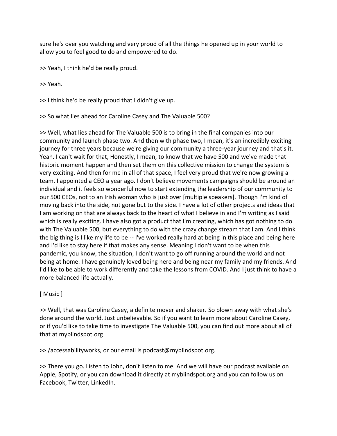sure he's over you watching and very proud of all the things he opened up in your world to allow you to feel good to do and empowered to do.

>> Yeah, I think he'd be really proud.

>> Yeah.

>> I think he'd be really proud that I didn't give up.

>> So what lies ahead for Caroline Casey and The Valuable 500?

>> Well, what lies ahead for The Valuable 500 is to bring in the final companies into our community and launch phase two. And then with phase two, I mean, it's an incredibly exciting journey for three years because we're giving our community a three-year journey and that's it. Yeah. I can't wait for that, Honestly, I mean, to know that we have 500 and we've made that historic moment happen and then set them on this collective mission to change the system is very exciting. And then for me in all of that space, I feel very proud that we're now growing a team. I appointed a CEO a year ago. I don't believe movements campaigns should be around an individual and it feels so wonderful now to start extending the leadership of our community to our 500 CEOs, not to an Irish woman who is just over [multiple speakers]. Though I'm kind of moving back into the side, not gone but to the side. I have a lot of other projects and ideas that I am working on that are always back to the heart of what I believe in and I'm writing as I said which is really exciting. I have also got a product that I'm creating, which has got nothing to do with The Valuable 500, but everything to do with the crazy change stream that I am. And I think the big thing is I like my life to be -- I've worked really hard at being in this place and being here and I'd like to stay here if that makes any sense. Meaning I don't want to be when this pandemic, you know, the situation, I don't want to go off running around the world and not being at home. I have genuinely loved being here and being near my family and my friends. And I'd like to be able to work differently and take the lessons from COVID. And I just think to have a more balanced life actually.

## [ Music ]

>> Well, that was Caroline Casey, a definite mover and shaker. So blown away with what she's done around the world. Just unbelievable. So if you want to learn more about Caroline Casey, or if you'd like to take time to investigate The Valuable 500, you can find out more about all of that at myblindspot.org

>> /accessabilityworks, or our email is podcast@myblindspot.org.

>> There you go. Listen to John, don't listen to me. And we will have our podcast available on Apple, Spotify, or you can download it directly at myblindspot.org and you can follow us on Facebook, Twitter, LinkedIn.